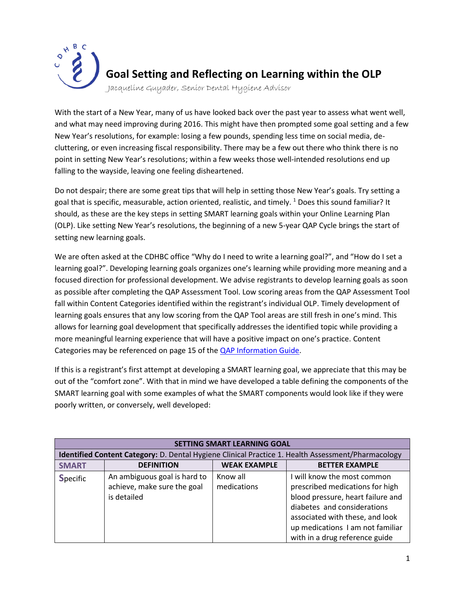

With the start of a New Year, many of us have looked back over the past year to assess what went well, and what may need improving during 2016. This might have then prompted some goal setting and a few New Year's resolutions, for example: losing a few pounds, spending less time on social media, decluttering, or even increasing fiscal responsibility. There may be a few out there who think there is no point in setting New Year's resolutions; within a few weeks those well-intended resolutions end up falling to the wayside, leaving one feeling disheartened.

Do not despair; there are some great tips that will help in setting those New Year's goals. Try setting a goal that is specific, measurable, action oriented, realistic, and timely.  $1$  Does this sound familiar? It should, as these are the key steps in setting SMART learning goals within your Online Learning Plan (OLP). Like setting New Year's resolutions, the beginning of a new 5-year QAP Cycle brings the start of setting new learning goals.

We are often asked at the CDHBC office "Why do I need to write a learning goal?", and "How do I set a learning goal?". Developing learning goals organizes one's learning while providing more meaning and a focused direction for professional development. We advise registrants to develop learning goals as soon as possible after completing the QAP Assessment Tool. Low scoring areas from the QAP Assessment Tool fall within Content Categories identified within the registrant's individual OLP. Timely development of learning goals ensures that any low scoring from the QAP Tool areas are still fresh in one's mind. This allows for learning goal development that specifically addresses the identified topic while providing a more meaningful learning experience that will have a positive impact on one's practice. Content Categories may be referenced on page 15 of th[e QAP Information Guide.](http://www.cdhbc.com/Documents/CDHBC-QAP-Info-Guide.aspx)

If this is a registrant's first attempt at developing a SMART learning goal, we appreciate that this may be out of the "comfort zone". With that in mind we have developed a table defining the components of the SMART learning goal with some examples of what the SMART components would look like if they were poorly written, or conversely, well developed:

| <b>SETTING SMART LEARNING GOAL</b>                                                                        |                                                                            |                         |                                                                                                                                                                                                                                             |  |  |
|-----------------------------------------------------------------------------------------------------------|----------------------------------------------------------------------------|-------------------------|---------------------------------------------------------------------------------------------------------------------------------------------------------------------------------------------------------------------------------------------|--|--|
| <b>Identified Content Category:</b> D. Dental Hygiene Clinical Practice 1. Health Assessment/Pharmacology |                                                                            |                         |                                                                                                                                                                                                                                             |  |  |
| <b>SMART</b>                                                                                              | <b>DEFINITION</b>                                                          | <b>WEAK EXAMPLE</b>     | <b>BETTER EXAMPLE</b>                                                                                                                                                                                                                       |  |  |
| <b>Specific</b>                                                                                           | An ambiguous goal is hard to<br>achieve, make sure the goal<br>is detailed | Know all<br>medications | I will know the most common<br>prescribed medications for high<br>blood pressure, heart failure and<br>diabetes and considerations<br>associated with these, and look<br>up medications I am not familiar<br>with in a drug reference guide |  |  |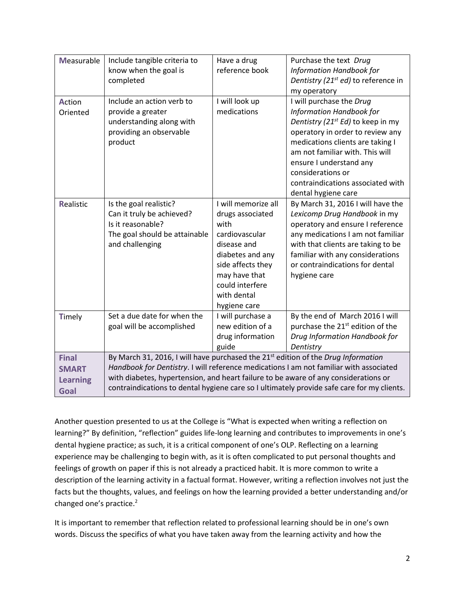| <b>Measurable</b>                                       | Include tangible criteria to<br>know when the goal is<br>completed                                                                                                                                                                                                                                                                                                           | Have a drug<br>reference book                                                                                                                                                                | Purchase the text Drug<br>Information Handbook for<br>Dentistry (21 <sup>st</sup> ed) to reference in<br>my operatory                                                                                                                                                                                                        |
|---------------------------------------------------------|------------------------------------------------------------------------------------------------------------------------------------------------------------------------------------------------------------------------------------------------------------------------------------------------------------------------------------------------------------------------------|----------------------------------------------------------------------------------------------------------------------------------------------------------------------------------------------|------------------------------------------------------------------------------------------------------------------------------------------------------------------------------------------------------------------------------------------------------------------------------------------------------------------------------|
| Action<br>Oriented                                      | Include an action verb to<br>provide a greater<br>understanding along with<br>providing an observable<br>product                                                                                                                                                                                                                                                             | I will look up<br>medications                                                                                                                                                                | I will purchase the Drug<br>Information Handbook for<br>Dentistry (21 <sup>st</sup> Ed) to keep in my<br>operatory in order to review any<br>medications clients are taking I<br>am not familiar with. This will<br>ensure I understand any<br>considerations or<br>contraindications associated with<br>dental hygiene care |
| Realistic                                               | Is the goal realistic?<br>Can it truly be achieved?<br>Is it reasonable?<br>The goal should be attainable<br>and challenging                                                                                                                                                                                                                                                 | I will memorize all<br>drugs associated<br>with<br>cardiovascular<br>disease and<br>diabetes and any<br>side affects they<br>may have that<br>could interfere<br>with dental<br>hygiene care | By March 31, 2016 I will have the<br>Lexicomp Drug Handbook in my<br>operatory and ensure I reference<br>any medications I am not familiar<br>with that clients are taking to be<br>familiar with any considerations<br>or contraindications for dental<br>hygiene care                                                      |
| Timely                                                  | Set a due date for when the<br>goal will be accomplished                                                                                                                                                                                                                                                                                                                     | I will purchase a<br>new edition of a<br>drug information<br>guide                                                                                                                           | By the end of March 2016 I will<br>purchase the 21 <sup>st</sup> edition of the<br>Drug Information Handbook for<br>Dentistry                                                                                                                                                                                                |
| <b>Final</b><br><b>SMART</b><br><b>Learning</b><br>Goal | By March 31, 2016, I will have purchased the 21 <sup>st</sup> edition of the Drug Information<br>Handbook for Dentistry. I will reference medications I am not familiar with associated<br>with diabetes, hypertension, and heart failure to be aware of any considerations or<br>contraindications to dental hygiene care so I ultimately provide safe care for my clients. |                                                                                                                                                                                              |                                                                                                                                                                                                                                                                                                                              |

Another question presented to us at the College is "What is expected when writing a reflection on learning?" By definition, "reflection" guides life-long learning and contributes to improvements in one's dental hygiene practice; as such, it is a critical component of one's OLP. Reflecting on a learning experience may be challenging to begin with, as it is often complicated to put personal thoughts and feelings of growth on paper if this is not already a practiced habit. It is more common to write a description of the learning activity in a factual format. However, writing a reflection involves not just the facts but the thoughts, values, and feelings on how the learning provided a better understanding and/or changed one's practice.<sup>2</sup>

It is important to remember that reflection related to professional learning should be in one's own words. Discuss the specifics of what you have taken away from the learning activity and how the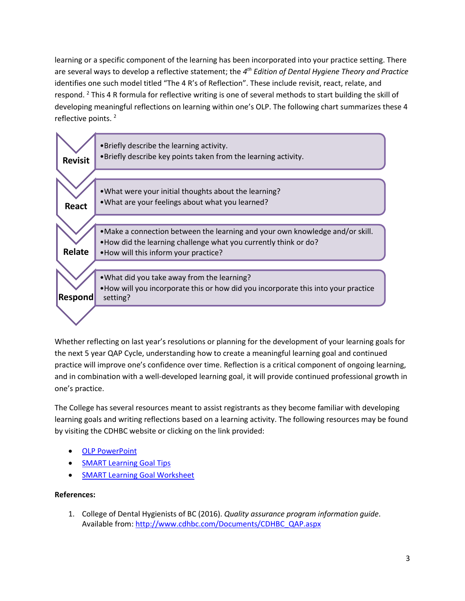learning or a specific component of the learning has been incorporated into your practice setting. There are several ways to develop a reflective statement; the *4 th Edition of Dental Hygiene Theory and Practice* identifies one such model titled "The 4 R's of Reflection". These include revisit, react, relate, and respond. <sup>2</sup> This 4 R formula for reflective writing is one of several methods to start building the skill of developing meaningful reflections on learning within one's OLP. The following chart summarizes these 4 reflective points.<sup>2</sup>



Whether reflecting on last year's resolutions or planning for the development of your learning goals for the next 5 year QAP Cycle, understanding how to create a meaningful learning goal and continued practice will improve one's confidence over time. Reflection is a critical component of ongoing learning, and in combination with a well-developed learning goal, it will provide continued professional growth in one's practice.

The College has several resources meant to assist registrants as they become familiar with developing learning goals and writing reflections based on a learning activity. The following resources may be found by visiting the CDHBC website or clicking on the link provided:

- **[OLP PowerPoint](http://www.cdhbc.com/News-Events/OLP-Power-Point.aspx)**
- **[SMART Learning Goal Tips](http://www.cdhbc.com/Documents/QAP-Tips-for-Setting-Smart-Learning-Goals-(2).aspx)**
- **[SMART Learning Goal Worksheet](http://www.cdhbc.com/Professional-Development/Quality-Assurance/Online-Learning-PLan/SMART-Learning-Goal-Work-Sheet.aspx)**

## **References:**

1. College of Dental Hygienists of BC (2016). *Quality assurance program information guide*. Available from[: http://www.cdhbc.com/Documents/CDHBC\\_QAP.aspx](http://www.cdhbc.com/Documents/CDHBC_QAP.aspx)